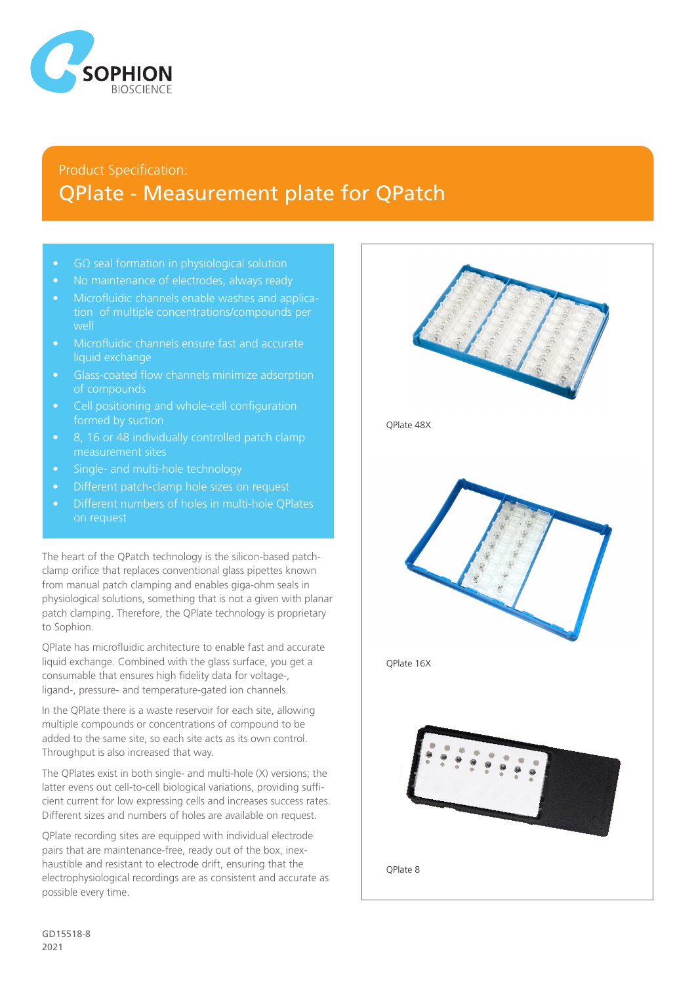

## Product Specification: QPlate - Measurement plate for QPatch

- GΩ seal formation in physiological solution
- No maintenance of electrodes, always ready
- Microfluidic channels enable washes and application of multiple concentrations/compounds per well
- Microfluidic channels ensure fast and accurate liquid exchange
- Glass-coated flow channels minimize adsorption of compounds
- Cell positioning and whole-cell configuration formed by suction
- 8, 16 or 48 individually controlled patch clamp
- Single- and multi-hole technology
- Different patch-clamp hole sizes on request
- Different numbers of holes in multi-hole QPlates on request

The heart of the QPatch technology is the silicon-based patchclamp orifice that replaces conventional glass pipettes known from manual patch clamping and enables giga-ohm seals in physiological solutions, something that is not a given with planar patch clamping. Therefore, the QPlate technology is proprietary to Sophion.

QPlate has microfluidic architecture to enable fast and accurate liquid exchange. Combined with the glass surface, you get a consumable that ensures high fidelity data for voltage-, ligand-, pressure- and temperature-gated ion channels.

In the QPlate there is a waste reservoir for each site, allowing multiple compounds or concentrations of compound to be added to the same site, so each site acts as its own control. Throughput is also increased that way.

The QPlates exist in both single- and multi-hole (X) versions; the latter evens out cell-to-cell biological variations, providing sufficient current for low expressing cells and increases success rates. Different sizes and numbers of holes are available on request.

QPlate recording sites are equipped with individual electrode pairs that are maintenance-free, ready out of the box, inexhaustible and resistant to electrode drift, ensuring that the electrophysiological recordings are as consistent and accurate as possible every time.